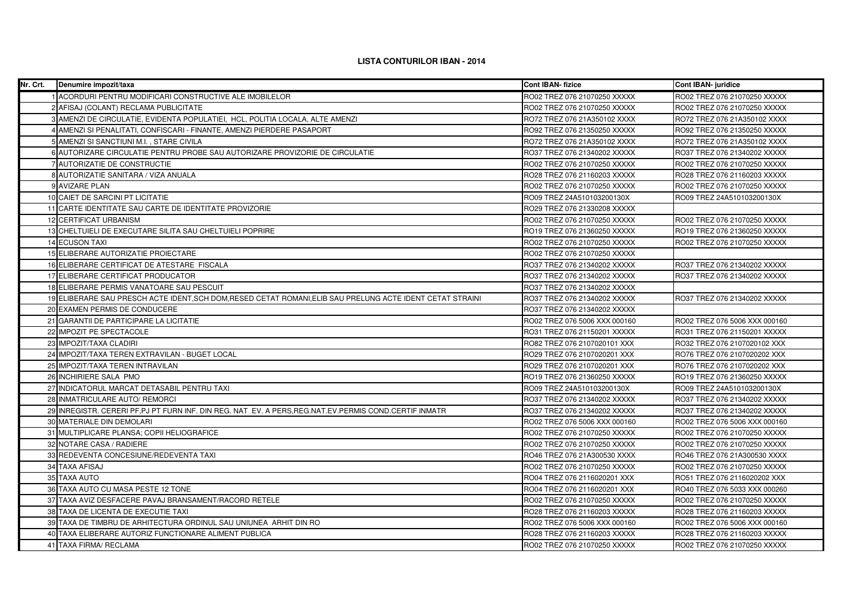## **LISTA CONTURILOR IBAN - 2014**

| Nr. Crt. | Denumire impozit/taxa                                                                                      | <b>Cont IBAN-fizice</b>       | <b>Cont IBAN- juridice</b>    |
|----------|------------------------------------------------------------------------------------------------------------|-------------------------------|-------------------------------|
|          | 1 ACORDURI PENTRU MODIFICARI CONSTRUCTIVE ALE IMOBILELOR                                                   | RO02 TREZ 076 21070250 XXXXX  | RO02 TREZ 076 21070250 XXXXX  |
|          | 2 AFISAJ (COLANT) RECLAMA PUBLICITATE                                                                      | RO02 TREZ 076 21070250 XXXXX  | RO02 TREZ 076 21070250 XXXXX  |
|          | 3 AMENZI DE CIRCULATIE, EVIDENTA POPULATIEI, HCL, POLITIA LOCALA, ALTE AMENZI                              | RO72 TREZ 076 21A350102 XXXX  | RO72 TREZ 076 21A350102 XXXX  |
|          | 4 AMENZI SI PENALITATI, CONFISCARI - FINANTE, AMENZI PIERDERE PASAPORT                                     | RO92 TREZ 076 21350250 XXXXX  | RO92 TREZ 076 21350250 XXXXX  |
|          | 5 AMENZI SI SANCTIUNI M.I., STARE CIVILA                                                                   | RO72 TREZ 076 21A350102 XXXX  | RO72 TREZ 076 21A350102 XXXX  |
|          | 6 AUTORIZARE CIRCULATIE PENTRU PROBE SAU AUTORIZARE PROVIZORIE DE CIRCULATIE                               | RO37 TREZ 076 21340202 XXXXX  | RO37 TREZ 076 21340202 XXXXX  |
|          | 7 AUTORIZATIE DE CONSTRUCTIE                                                                               | RO02 TREZ 076 21070250 XXXXX  | RO02 TREZ 076 21070250 XXXXX  |
|          | 8 AUTORIZATIE SANITARA / VIZA ANUALA                                                                       | RO28 TREZ 076 21160203 XXXXX  | RO28 TREZ 076 21160203 XXXXX  |
|          | 9 AVIZARE PLAN                                                                                             | RO02 TREZ 076 21070250 XXXXX  | RO02 TREZ 076 21070250 XXXXX  |
|          | 10 CAIET DE SARCINI PT LICITATIE                                                                           | RO09 TREZ 24A510103200130X    | RO09 TREZ 24A510103200130X    |
|          | 11 CARTE IDENTITATE SAU CARTE DE IDENTITATE PROVIZORIE                                                     | RO29 TREZ 076 21330208 XXXXX  |                               |
|          | 12 CERTIFICAT URBANISM                                                                                     | RO02 TREZ 076 21070250 XXXXX  | RO02 TREZ 076 21070250 XXXXX  |
|          | 13 CHELTUIELI DE EXECUTARE SILITA SAU CHELTUIELI POPRIRE                                                   | RO19 TREZ 076 21360250 XXXXX  | RO19 TREZ 076 21360250 XXXXX  |
|          | <b>14 ECUSON TAXI</b>                                                                                      | RO02 TREZ 076 21070250 XXXXX  | RO02 TREZ 076 21070250 XXXXX  |
|          | 15 ELIBERARE AUTORIZATIE PROIECTARE                                                                        | RO02 TREZ 076 21070250 XXXXX  |                               |
|          | 16 ELIBERARE CERTIFICAT DE ATESTARE FISCALA                                                                | RO37 TREZ 076 21340202 XXXXX  | RO37 TREZ 076 21340202 XXXXX  |
|          | 17 ELIBERARE CERTIFICAT PRODUCATOR                                                                         | RO37 TREZ 076 21340202 XXXXX  | RO37 TREZ 076 21340202 XXXXX  |
|          | 18 ELIBERARE PERMIS VANATOARE SAU PESCUIT                                                                  | RO37 TREZ 076 21340202 XXXXX  |                               |
|          | 19 ELIBERARE SAU PRESCH ACTE IDENT, SCH DOM, RESED CETAT ROMANI, ELIB SAU PRELUNG ACTE IDENT CETAT STRAINI | RO37 TREZ 076 21340202 XXXXX  | RO37 TREZ 076 21340202 XXXXX  |
|          | 20 EXAMEN PERMIS DE CONDUCERE                                                                              | RO37 TREZ 076 21340202 XXXXX  |                               |
|          | 21 GARANTII DE PARTICIPARE LA LICITATIE                                                                    | RO02 TREZ 076 5006 XXX 000160 | RO02 TREZ 076 5006 XXX 000160 |
|          | 22 IMPOZIT PE SPECTACOLE                                                                                   | RO31 TREZ 076 21150201 XXXXX  | RO31 TREZ 076 21150201 XXXXX  |
|          | 23 IMPOZIT/TAXA CLADIRI                                                                                    | RO82 TREZ 076 2107020101 XXX  | RO32 TREZ 076 2107020102 XXX  |
|          | 24 IMPOZIT/TAXA TEREN EXTRAVILAN - BUGET LOCAL                                                             | RO29 TREZ 076 2107020201 XXX  | RO76 TREZ 076 2107020202 XXX  |
|          | 25 IMPOZIT/TAXA TEREN INTRAVILAN                                                                           | RO29 TREZ 076 2107020201 XXX  | RO76 TREZ 076 2107020202 XXX  |
|          | 26 INCHIRIERE SALA PMO                                                                                     | RO19 TREZ 076 21360250 XXXXX  | RO19 TREZ 076 21360250 XXXXX  |
|          | 27 INDICATORUL MARCAT DETASABIL PENTRU TAXI                                                                | RO09 TREZ 24A510103200130X    | RO09 TREZ 24A510103200130X    |
|          | 28 INMATRICULARE AUTO/ REMORCI                                                                             | RO37 TREZ 076 21340202 XXXXX  | RO37 TREZ 076 21340202 XXXXX  |
|          | 29 INREGISTR. CERERI PF, PJ PT FURN INF. DIN REG. NAT EV. A PERS, REG. NAT. EV. PERMIS COND. CERTIF INMATR | RO37 TREZ 076 21340202 XXXXX  | RO37 TREZ 076 21340202 XXXXX  |
|          | 30 MATERIALE DIN DEMOLARI                                                                                  | RO02 TREZ 076 5006 XXX 000160 | RO02 TREZ 076 5006 XXX 000160 |
|          | 31 MULTIPLICARE PLANSA; COPII HELIOGRAFICE                                                                 | RO02 TREZ 076 21070250 XXXXX  | RO02 TREZ 076 21070250 XXXXX  |
|          | 32 NOTARE CASA / RADIERE                                                                                   | RO02 TREZ 076 21070250 XXXXX  | RO02 TREZ 076 21070250 XXXXX  |
|          | 33 REDEVENTA CONCESIUNE/REDEVENTA TAXI                                                                     | RO46 TREZ 076 21A300530 XXXX  | RO46 TREZ 076 21A300530 XXXX  |
|          | 34 TAXA AFISAJ                                                                                             | RO02 TREZ 076 21070250 XXXXX  | RO02 TREZ 076 21070250 XXXXX  |
|          | 35 TAXA AUTO                                                                                               | RO04 TREZ 076 2116020201 XXX  | RO51 TREZ 076 2116020202 XXX  |
|          | 36 TAXA AUTO CU MASA PESTE 12 TONE                                                                         | RO04 TREZ 076 2116020201 XXX  | RO40 TREZ 076 5033 XXX 000260 |
|          | 37 TAXA AVIZ DESFACERE PAVAJ BRANSAMENT/RACORD RETELE                                                      | RO02 TREZ 076 21070250 XXXXX  | RO02 TREZ 076 21070250 XXXXX  |
|          | 38 TAXA DE LICENTA DE EXECUTIE TAXI                                                                        | RO28 TREZ 076 21160203 XXXXX  | RO28 TREZ 076 21160203 XXXXX  |
|          | 39 TAXA DE TIMBRU DE ARHITECTURA ORDINUL SAU UNIUNEA ARHIT DIN RO                                          | RO02 TREZ 076 5006 XXX 000160 | RO02 TREZ 076 5006 XXX 000160 |
|          | 40 TAXA ELIBERARE AUTORIZ FUNCTIONARE ALIMENT PUBLICA                                                      | RO28 TREZ 076 21160203 XXXXX  | RO28 TREZ 076 21160203 XXXXX  |
|          | 41 TAXA FIRMA/ RECLAMA                                                                                     | RO02 TREZ 076 21070250 XXXXX  | RO02 TREZ 076 21070250 XXXXX  |